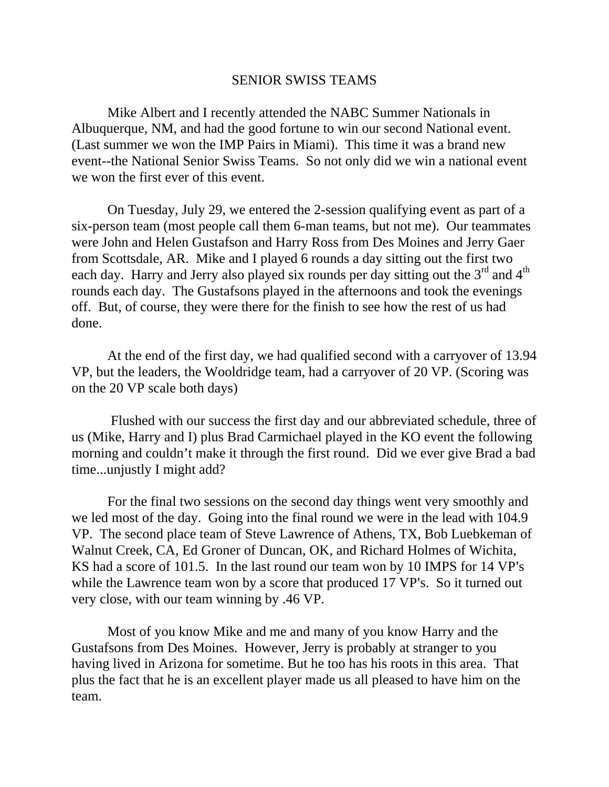## SENIOR SWISS TEAMS

Mike Albert and I recently attended the NABC Summer Nationals in Albuquerque, NM, and had the good fortune to win our second National event. (Last summer we won the IMP Pairs in Miami). This time it was a brand new event--the National Senior Swiss Teams. So not only did we win a national event we won the first ever of this event.

On Tuesday, July 29, we entered the 2-session qualifying event as part of a six-person team (most people call them 6-man teams, but not me). Our teammates were John and Helen Gustafson and Harry Ross from Des Moines and Jerry Gaer from Scottsdale, AR. Mike and I played 6 rounds a day sitting out the first two each day. Harry and Jerry also played six rounds per day sitting out the 3<sup>rd</sup> and 4<sup>th</sup> rounds each day. The Gustafsons played in the afternoons and took the evenings off. But, of course, they were there for the finish to see how the rest of us had done.

At the end of the first day, we had qualified second with a carryover of 13.94 VP, but the leaders, the Wooldridge team, had a carryover of 20 VP. (Scoring was on the 20 VP scale both days)

 Flushed with our success the first day and our abbreviated schedule, three of us (Mike, Harry and I) plus Brad Carmichael played in the KO event the following morning and couldn't make it through the first round. Did we ever give Brad a bad time...unjustly I might add?

For the final two sessions on the second day things went very smoothly and we led most of the day. Going into the final round we were in the lead with 104.9 VP. The second place team of Steve Lawrence of Athens, TX, Bob Luebkeman of Walnut Creek, CA, Ed Groner of Duncan, OK, and Richard Holmes of Wichita, KS had a score of 101.5. In the last round our team won by 10 IMPS for 14 VP's while the Lawrence team won by a score that produced 17 VP's. So it turned out very close, with our team winning by .46 VP.

Most of you know Mike and me and many of you know Harry and the Gustafsons from Des Moines. However, Jerry is probably at stranger to you having lived in Arizona for sometime. But he too has his roots in this area. That plus the fact that he is an excellent player made us all pleased to have him on the team.